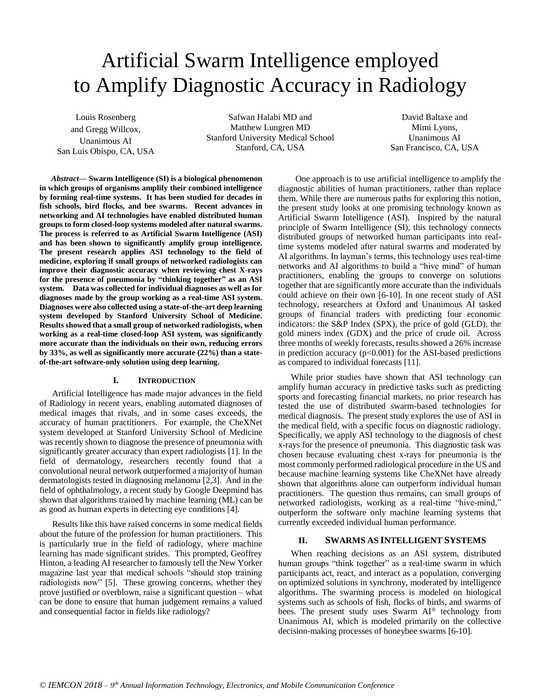# Artificial Swarm Intelligence employed to Amplify Diagnostic Accuracy in Radiology

Louis Rosenberg and Gregg Willcox, Unanimous AI San Luis Obispo, CA, USA

Safwan Halabi MD and Matthew Lungren MD Stanford University Medical School Stanford, CA, USA

David Baltaxe and Mimi Lyons, Unanimous AI San Francisco, CA, USA

*Abstract***— Swarm Intelligence (SI) is a biological phenomenon in which groups of organisms amplify their combined intelligence by forming real-time systems. It has been studied for decades in fish schools, bird flocks, and bee swarms. Recent advances in networking and AI technologies have enabled distributed human groups to form closed-loop systems modeled after natural swarms. The process is referred to as Artificial Swarm Intelligence (ASI) and has been shown to significantly amplify group intelligence. The present research applies ASI technology to the field of medicine, exploring if small groups of networked radiologists can improve their diagnostic accuracy when reviewing chest X-rays for the presence of pneumonia by "thinking together" as an ASI system. Data was collected for individual diagnoses as well as for diagnoses made by the group working as a real-time ASI system. Diagnoses were also collected using a state-of-the-art deep learning system developed by Stanford University School of Medicine. Results showed that a small group of networked radiologists, when working as a real-time closed-loop ASI system, was significantly more accurate than the individuals on their own, reducing errors by 33%, as well as significantly more accurate (22%) than a stateof-the-art software-only solution using deep learning.** 

## **I. INTRODUCTION**

Artificial Intelligence has made major advances in the field of Radiology in recent years, enabling automated diagnoses of medical images that rivals, and in some cases exceeds, the accuracy of human practitioners. For example, the CheXNet system developed at Stanford University School of Medicine was recently shown to diagnose the presence of pneumonia with significantly greater accuracy than expert radiologists [1]. In the field of dermatology, researchers recently found that a convolutional neural network outperformed a majority of human dermatologists tested in diagnosing melanoma [2,3]. And in the field of ophthalmology, a recent study by Google Deepmind has shown that algorithms trained by machine learning (ML) can be as good as human experts in detecting eye conditions [4].

Results like this have raised concerns in some medical fields about the future of the profession for human practitioners. This is particularly true in the field of radiology, where machine learning has made significant strides. This prompted, Geoffrey Hinton, a leading AI researcher to famously tell the New Yorker magazine last year that medical schools "should stop training radiologists now" [5]. These growing concerns, whether they prove justified or overblown, raise a significant question – what can be done to ensure that human judgement remains a valued and consequential factor in fields like radiology?

 One approach is to use artificial intelligence to amplify the diagnostic abilities of human practitioners, rather than replace them. While there are numerous paths for exploring this notion, the present study looks at one promising technology known as Artificial Swarm Intelligence (ASI). Inspired by the natural principle of Swarm Intelligence (SI), this technology connects distributed groups of networked human participants into realtime systems modeled after natural swarms and moderated by AI algorithms. In layman's terms, this technology uses real-time networks and AI algorithms to build a "hive mind" of human practitioners, enabling the groups to converge on solutions together that are significantly more accurate than the individuals could achieve on their own [6-10]. In one recent study of ASI technology, researchers at Oxford and Unanimous AI tasked groups of financial traders with predicting four economic indicators: the S&P Index (SPX), the price of gold (GLD), the gold miners index (GDX) and the price of crude oil. Across three months of weekly forecasts, results showed a 26% increase in prediction accuracy  $(p<0.001)$  for the ASI-based predictions as compared to individual forecasts [11].

While prior studies have shown that ASI technology can amplify human accuracy in predictive tasks such as predicting sports and forecasting financial markets, no prior research has tested the use of distributed swarm-based technologies for medical diagnosis. The present study explores the use of ASI in the medical field, with a specific focus on diagnostic radiology. Specifically, we apply ASI technology to the diagnosis of chest x-rays for the presence of pneumonia. This diagnostic task was chosen because evaluating chest x-rays for pneumonia is the most commonly performed radiological procedure in the US and because machine learning systems like CheXNet have already shown that algorithms alone can outperform individual human practitioners. The question thus remains, can small groups of networked radiologists, working as a real-time "hive-mind," outperform the software only machine learning systems that currently exceeded individual human performance.

# **II. SWARMS AS INTELLIGENT SYSTEMS**

When reaching decisions as an ASI system, distributed human groups "think together" as a real-time swarm in which participants act, react, and interact as a population, converging on optimized solutions in synchrony, moderated by intelligence algorithms. The swarming process is modeled on biological systems such as schools of fish, flocks of birds, and swarms of bees. The present study uses Swarm AI® technology from Unanimous AI, which is modeled primarily on the collective decision-making processes of honeybee swarms [6-10].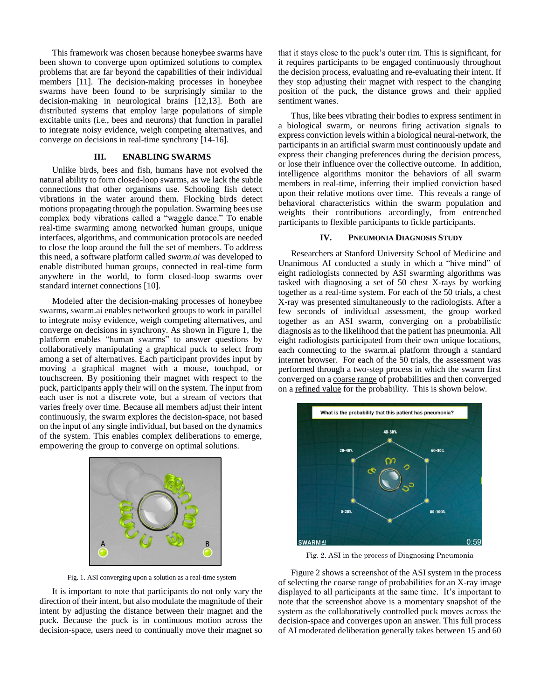This framework was chosen because honeybee swarms have been shown to converge upon optimized solutions to complex problems that are far beyond the capabilities of their individual members [11]. The decision-making processes in honeybee swarms have been found to be surprisingly similar to the decision-making in neurological brains [12,13]. Both are distributed systems that employ large populations of simple excitable units (i.e., bees and neurons) that function in parallel to integrate noisy evidence, weigh competing alternatives, and converge on decisions in real-time synchrony [14-16].

# **III. ENABLING SWARMS**

Unlike birds, bees and fish, humans have not evolved the natural ability to form closed-loop swarms, as we lack the subtle connections that other organisms use. Schooling fish detect vibrations in the water around them. Flocking birds detect motions propagating through the population. Swarming bees use complex body vibrations called a "waggle dance." To enable real-time swarming among networked human groups, unique interfaces, algorithms, and communication protocols are needed to close the loop around the full the set of members. To address this need, a software platform called *swarm.ai* was developed to enable distributed human groups, connected in real-time form anywhere in the world, to form closed-loop swarms over standard internet connections [10].

Modeled after the decision-making processes of honeybee swarms, swarm.ai enables networked groups to work in parallel to integrate noisy evidence, weigh competing alternatives, and converge on decisions in synchrony. As shown in Figure 1, the platform enables "human swarms" to answer questions by collaboratively manipulating a graphical puck to select from among a set of alternatives. Each participant provides input by moving a graphical magnet with a mouse, touchpad, or touchscreen. By positioning their magnet with respect to the puck, participants apply their will on the system. The input from each user is not a discrete vote, but a stream of vectors that varies freely over time. Because all members adjust their intent continuously, the swarm explores the decision-space, not based on the input of any single individual, but based on the dynamics of the system. This enables complex deliberations to emerge, empowering the group to converge on optimal solutions.



Fig. 1. ASI converging upon a solution as a real-time system

It is important to note that participants do not only vary the direction of their intent, but also modulate the magnitude of their intent by adjusting the distance between their magnet and the puck. Because the puck is in continuous motion across the decision-space, users need to continually move their magnet so

that it stays close to the puck's outer rim. This is significant, for it requires participants to be engaged continuously throughout the decision process, evaluating and re-evaluating their intent. If they stop adjusting their magnet with respect to the changing position of the puck, the distance grows and their applied sentiment wanes.

Thus, like bees vibrating their bodies to express sentiment in a biological swarm, or neurons firing activation signals to express conviction levels within a biological neural-network, the participants in an artificial swarm must continuously update and express their changing preferences during the decision process, or lose their influence over the collective outcome. In addition, intelligence algorithms monitor the behaviors of all swarm members in real-time, inferring their implied conviction based upon their relative motions over time. This reveals a range of behavioral characteristics within the swarm population and weights their contributions accordingly, from entrenched participants to flexible participants to fickle participants.

# **IV. PNEUMONIA DIAGNOSIS STUDY**

Researchers at Stanford University School of Medicine and Unanimous AI conducted a study in which a "hive mind" of eight radiologists connected by ASI swarming algorithms was tasked with diagnosing a set of 50 chest X-rays by working together as a real-time system. For each of the 50 trials, a chest X-ray was presented simultaneously to the radiologists. After a few seconds of individual assessment, the group worked together as an ASI swarm, converging on a probabilistic diagnosis as to the likelihood that the patient has pneumonia. All eight radiologists participated from their own unique locations, each connecting to the swarm.ai platform through a standard internet browser. For each of the 50 trials, the assessment was performed through a two-step process in which the swarm first converged on a coarse range of probabilities and then converged on a refined value for the probability. This is shown below.



Fig. 2. ASI in the process of Diagnosing Pneumonia

Figure 2 shows a screenshot of the ASI system in the process of selecting the coarse range of probabilities for an X-ray image displayed to all participants at the same time. It's important to note that the screenshot above is a momentary snapshot of the system as the collaboratively controlled puck moves across the decision-space and converges upon an answer. This full process of AI moderated deliberation generally takes between 15 and 60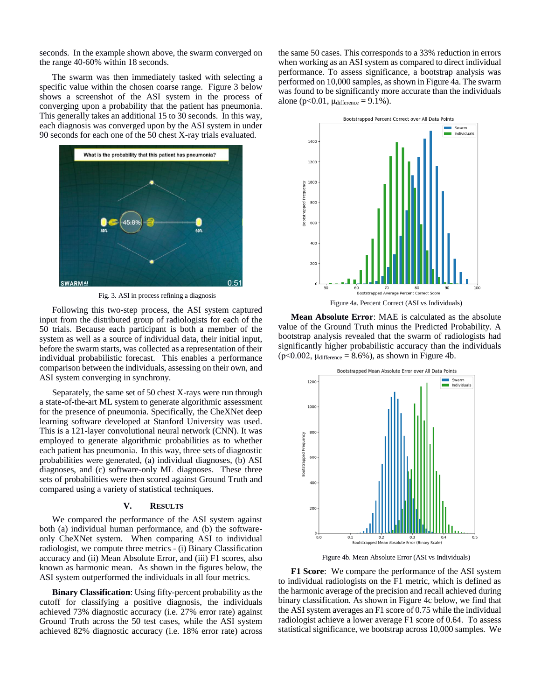seconds. In the example shown above, the swarm converged on the range 40-60% within 18 seconds.

The swarm was then immediately tasked with selecting a specific value within the chosen coarse range. Figure 3 below shows a screenshot of the ASI system in the process of converging upon a probability that the patient has pneumonia. This generally takes an additional 15 to 30 seconds. In this way, each diagnosis was converged upon by the ASI system in under 90 seconds for each one of the 50 chest X-ray trials evaluated.



Fig. 3. ASI in process refining a diagnosis

Following this two-step process, the ASI system captured input from the distributed group of radiologists for each of the 50 trials. Because each participant is both a member of the system as well as a source of individual data, their initial input, before the swarm starts, was collected as a representation of their individual probabilistic forecast. This enables a performance comparison between the individuals, assessing on their own, and ASI system converging in synchrony.

Separately, the same set of 50 chest X-rays were run through a state-of-the-art ML system to generate algorithmic assessment for the presence of pneumonia. Specifically, the CheXNet deep learning software developed at Stanford University was used. This is a 121-layer convolutional neural network (CNN). It was employed to generate algorithmic probabilities as to whether each patient has pneumonia. In this way, three sets of diagnostic probabilities were generated, (a) individual diagnoses, (b) ASI diagnoses, and (c) software-only ML diagnoses. These three sets of probabilities were then scored against Ground Truth and compared using a variety of statistical techniques.

## **V. RESULTS**

We compared the performance of the ASI system against both (a) individual human performance, and (b) the softwareonly CheXNet system. When comparing ASI to individual radiologist, we compute three metrics - (i) Binary Classification accuracy and (ii) Mean Absolute Error, and (iii) F1 scores, also known as harmonic mean. As shown in the figures below, the ASI system outperformed the individuals in all four metrics.

**Binary Classification**: Using fifty-percent probability as the cutoff for classifying a positive diagnosis, the individuals achieved 73% diagnostic accuracy (i.e. 27% error rate) against Ground Truth across the 50 test cases, while the ASI system achieved 82% diagnostic accuracy (i.e. 18% error rate) across the same 50 cases. This corresponds to a 33% reduction in errors when working as an ASI system as compared to direct individual performance. To assess significance, a bootstrap analysis was performed on 10,000 samples, as shown in Figure 4a. The swarm was found to be significantly more accurate than the individuals alone (p<0.01,  $\mu$ difference = 9.1%).



**Mean Absolute Error**: MAE is calculated as the absolute value of the Ground Truth minus the Predicted Probability. A bootstrap analysis revealed that the swarm of radiologists had significantly higher probabilistic accuracy than the individuals  $(p<0.002, \mu_{difference} = 8.6\%)$ , as shown in Figure 4b.



Figure 4b. Mean Absolute Error (ASI vs Individuals)

**F1 Score**: We compare the performance of the ASI system to individual radiologists on the F1 metric, which is defined as the harmonic average of the precision and recall achieved during binary classification. As shown in Figure 4c below, we find that the ASI system averages an F1 score of 0.75 while the individual radiologist achieve a lower average F1 score of 0.64. To assess statistical significance, we bootstrap across 10,000 samples. We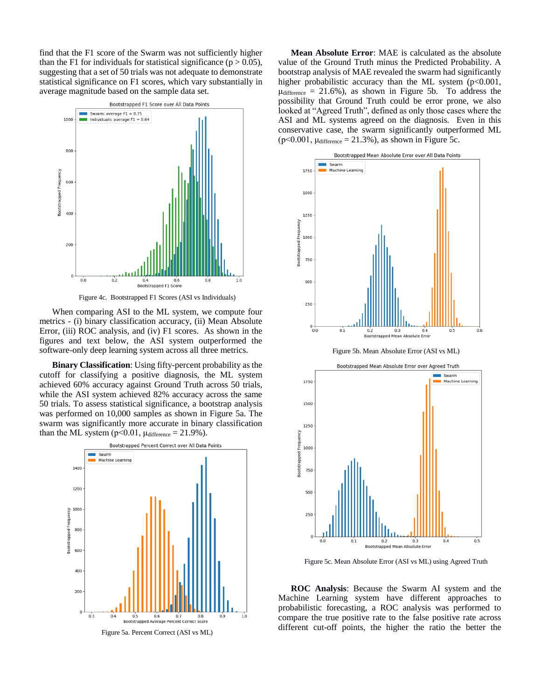find that the F1 score of the Swarm was not sufficiently higher than the F1 for individuals for statistical significance ( $p > 0.05$ ), suggesting that a set of 50 trials was not adequate to demonstrate statistical significance on F1 scores, which vary substantially in average magnitude based on the sample data set.



When comparing ASI to the ML system, we compute four metrics - (i) binary classification accuracy, (ii) Mean Absolute Error, (iii) ROC analysis, and (iv) F1 scores. As shown in the figures and text below, the ASI system outperformed the software-only deep learning system across all three metrics.

**Binary Classification**: Using fifty-percent probability as the cutoff for classifying a positive diagnosis, the ML system achieved 60% accuracy against Ground Truth across 50 trials, while the ASI system achieved 82% accuracy across the same 50 trials. To assess statistical significance, a bootstrap analysis was performed on 10,000 samples as shown in Figure 5a. The swarm was significantly more accurate in binary classification than the ML system ( $p<0.01$ ,  $\mu$ difference = 21.9%).



**Mean Absolute Error**: MAE is calculated as the absolute value of the Ground Truth minus the Predicted Probability. A bootstrap analysis of MAE revealed the swarm had significantly higher probabilistic accuracy than the ML system (p<0.001,  $\mu$ difference = 21.6%), as shown in Figure 5b. To address the possibility that Ground Truth could be error prone, we also looked at "Agreed Truth", defined as only those cases where the ASI and ML systems agreed on the diagnosis. Even in this conservative case, the swarm significantly outperformed ML  $(p<0.001, \mu_{difference} = 21.3\%)$ , as shown in Figure 5c.





Figure 5c. Mean Absolute Error (ASI vs ML) using Agreed Truth

**ROC Analysis**: Because the Swarm AI system and the Machine Learning system have different approaches to probabilistic forecasting, a ROC analysis was performed to compare the true positive rate to the false positive rate across different cut-off points, the higher the ratio the better the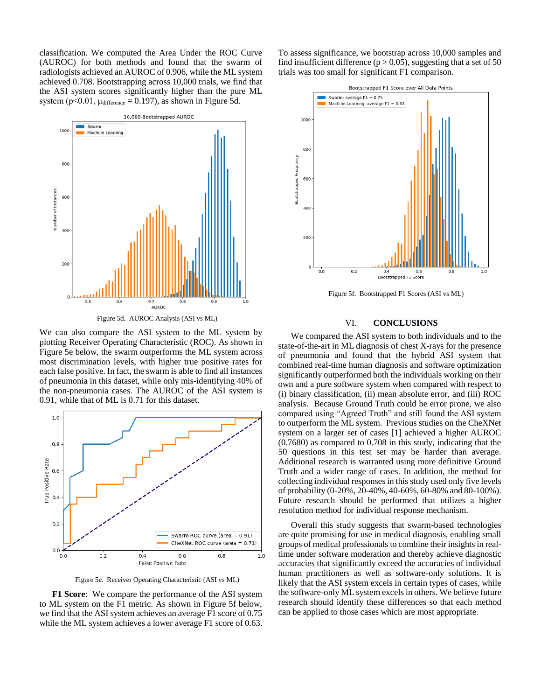classification. We computed the Area Under the ROC Curve (AUROC) for both methods and found that the swarm of radiologists achieved an AUROC of 0.906, while the ML system achieved 0.708. Bootstrapping across 10,000 trials, we find that the ASI system scores significantly higher than the pure ML system ( $p<0.01$ ,  $\mu$ difference = 0.197), as shown in Figure 5d.



Figure 5d. AUROC Analysis (ASI vs ML)

We can also compare the ASI system to the ML system by plotting Receiver Operating Characteristic (ROC). As shown in Figure 5e below, the swarm outperforms the ML system across most discrimination levels, with higher true positive rates for each false positive. In fact, the swarm is able to find all instances of pneumonia in this dataset, while only mis-identifying 40% of the non-pneumonia cases. The AUROC of the ASI system is 0.91, while that of ML is 0.71 for this dataset.



Figure 5e. Receiver Operating Characteristic (ASI vs ML)

**F1 Score**: We compare the performance of the ASI system to ML system on the F1 metric. As shown in Figure 5f below, we find that the ASI system achieves an average F1 score of 0.75 while the ML system achieves a lower average F1 score of 0.63. To assess significance, we bootstrap across 10,000 samples and find insufficient difference ( $p > 0.05$ ), suggesting that a set of 50 trials was too small for significant F1 comparison.



Figure 5f. Bootstrapped F1 Scores (ASI vs ML)

# VI. **CONCLUSIONS**

We compared the ASI system to both individuals and to the state-of-the-art in ML diagnosis of chest X-rays for the presence of pneumonia and found that the hybrid ASI system that combined real-time human diagnosis and software optimization significantly outperformed both the individuals working on their own and a pure software system when compared with respect to (i) binary classification, (ii) mean absolute error, and (iii) ROC analysis. Because Ground Truth could be error prone, we also compared using "Agreed Truth" and still found the ASI system to outperform the ML system. Previous studies on the CheXNet system on a larger set of cases [1] achieved a higher AUROC (0.7680) as compared to 0.708 in this study, indicating that the 50 questions in this test set may be harder than average. Additional research is warranted using more definitive Ground Truth and a wider range of cases. In addition, the method for collecting individual responses in this study used only five levels of probability (0-20%, 20-40%, 40-60%, 60-80% and 80-100%). Future research should be performed that utilizes a higher resolution method for individual response mechanism.

Overall this study suggests that swarm-based technologies are quite promising for use in medical diagnosis, enabling small groups of medical professionals to combine their insights in realtime under software moderation and thereby achieve diagnostic accuracies that significantly exceed the accuracies of individual human practitioners as well as software-only solutions. It is likely that the ASI system excels in certain types of cases, while the software-only ML system excels in others. We believe future research should identify these differences so that each method can be applied to those cases which are most appropriate.